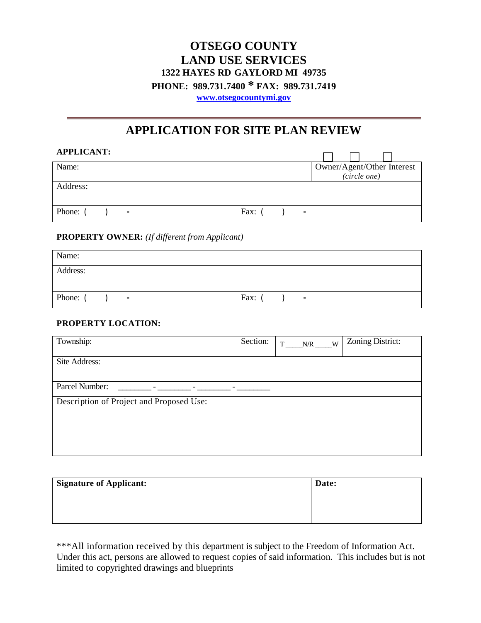# **OTSEGO COUNTY LAND USE SERVICES 1322 HAYES RD GAYLORD MI 49735 PHONE: 989.731.7400 \* FAX: 989.731.7419 [www.otsegocountymi.gov](http://www.otsegocountymi.gov/)**

# **APPLICATION FOR SITE PLAN REVIEW**

| <b>APPLICANT:</b>        |                            |
|--------------------------|----------------------------|
| Name:                    | Owner/Agent/Other Interest |
|                          | (circle one)               |
| Address:                 |                            |
| Phone:<br>$\blacksquare$ | Fax: $($<br>$\blacksquare$ |

#### **PROPERTY OWNER:** *(If different from Applicant)*

| Name:                      |                |
|----------------------------|----------------|
| Address:                   |                |
|                            |                |
| Phone: (<br>$\blacksquare$ | Fax:<br>$\sim$ |

#### **PROPERTY LOCATION:**

| Township:                                | Section: | $N/R$ W<br>T | Zoning District: |
|------------------------------------------|----------|--------------|------------------|
| Site Address:                            |          |              |                  |
| Parcel Number:                           |          |              |                  |
| Description of Project and Proposed Use: |          |              |                  |

| Signature of Applicant: | Date: |
|-------------------------|-------|
|                         |       |
|                         |       |
|                         |       |

\*\*\*All information received by this department is subject to the Freedom of Information Act. Under this act, persons are allowed to request copies of said information. This includes but is not limited to copyrighted drawings and blueprints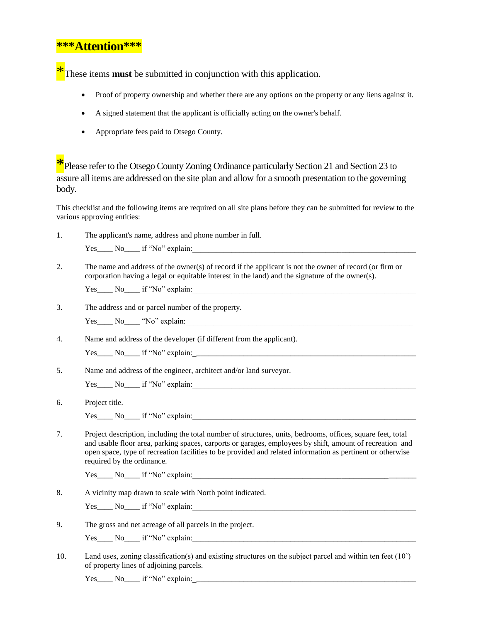### **\*\*\*Attention\*\*\***

<sup>\*</sup>These items **must** be submitted in conjunction with this application.

- Proof of property ownership and whether there are any options on the property or any liens against it.
- A signed statement that the applicant is officially acting on the owner's behalf.
- Appropriate fees paid to Otsego County.

**\***Please refer to the Otsego County Zoning Ordinance particularly Section 21 and Section 23 to assure all items are addressed on the site plan and allow for a smooth presentation to the governing body.

This checklist and the following items are required on all site plans before they can be submitted for review to the various approving entities:

| 1.  | The applicant's name, address and phone number in full.                                                                                                                                                                                                                                                                                                             |
|-----|---------------------------------------------------------------------------------------------------------------------------------------------------------------------------------------------------------------------------------------------------------------------------------------------------------------------------------------------------------------------|
|     | Yes No if "No" explain:                                                                                                                                                                                                                                                                                                                                             |
| 2.  | The name and address of the owner(s) of record if the applicant is not the owner of record (or firm or<br>corporation having a legal or equitable interest in the land) and the signature of the owner(s).                                                                                                                                                          |
|     | Yes No if "No" explain:                                                                                                                                                                                                                                                                                                                                             |
| 3.  | The address and or parcel number of the property.                                                                                                                                                                                                                                                                                                                   |
|     |                                                                                                                                                                                                                                                                                                                                                                     |
| 4.  | Name and address of the developer (if different from the applicant).                                                                                                                                                                                                                                                                                                |
|     |                                                                                                                                                                                                                                                                                                                                                                     |
| 5.  | Name and address of the engineer, architect and/or land surveyor.                                                                                                                                                                                                                                                                                                   |
|     | Yes No if "No" explain:                                                                                                                                                                                                                                                                                                                                             |
| 6.  | Project title.                                                                                                                                                                                                                                                                                                                                                      |
|     | Yes No if "No" explain:                                                                                                                                                                                                                                                                                                                                             |
| 7.  | Project description, including the total number of structures, units, bedrooms, offices, square feet, total<br>and usable floor area, parking spaces, carports or garages, employees by shift, amount of recreation and<br>open space, type of recreation facilities to be provided and related information as pertinent or otherwise<br>required by the ordinance. |
|     | Yes No if "No" explain:                                                                                                                                                                                                                                                                                                                                             |
| 8.  | A vicinity map drawn to scale with North point indicated.                                                                                                                                                                                                                                                                                                           |
|     | Yes No if "No" explain:                                                                                                                                                                                                                                                                                                                                             |
| 9.  | The gross and net acreage of all parcels in the project.                                                                                                                                                                                                                                                                                                            |
|     | $Yes$ No  if "No" explain:                                                                                                                                                                                                                                                                                                                                          |
| 10. | Land uses, zoning classification(s) and existing structures on the subject parcel and within ten feet $(10)$<br>of property lines of adjoining parcels.                                                                                                                                                                                                             |
|     | $Yes$ No if "No" explain:                                                                                                                                                                                                                                                                                                                                           |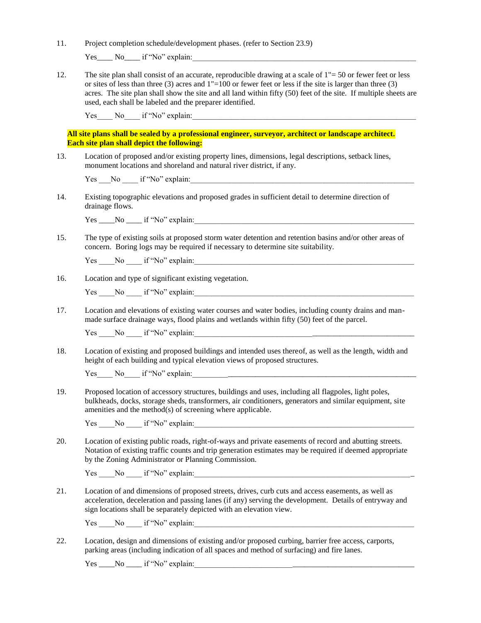11. Project completion schedule/development phases. (refer to Section 23.9)

Yes No if "No" explain:

12. The site plan shall consist of an accurate, reproducible drawing at a scale of  $1" = 50$  or fewer feet or less or sites of less than three (3) acres and 1"=100 or fewer feet or less if the site is larger than three (3) acres. The site plan shall show the site and all land within fifty (50) feet of the site. If multiple sheets are used, each shall be labeled and the preparer identified.

Yes No if "No" explain:

**All site plans shall be sealed by a professional engineer, surveyor, architect or landscape architect. Each site plan shall depict the following:**

13. Location of proposed and/or existing property lines, dimensions, legal descriptions, setback lines, monument locations and shoreland and natural river district, if any.

Yes No if "No" explain:

14. Existing topographic elevations and proposed grades in sufficient detail to determine direction of drainage flows.

 $Yes$  No  $if "No" explain:$ 

15. The type of existing soils at proposed storm water detention and retention basins and/or other areas of concern. Boring logs may be required if necessary to determine site suitability.

Yes \_\_\_\_\_No \_\_\_\_\_\_\_ if "No" explain:

16. Location and type of significant existing vegetation.

Yes \_\_\_\_No \_\_\_\_ if "No" explain:\_\_\_\_\_\_\_\_\_\_\_\_\_\_\_\_\_\_\_\_\_\_\_\_\_\_\_\_\_\_\_\_\_\_\_\_\_\_\_\_\_\_\_\_\_\_\_\_\_\_\_\_\_\_\_\_

17. Location and elevations of existing water courses and water bodies, including county drains and manmade surface drainage ways, flood plains and wetlands within fifty (50) feet of the parcel.

Yes No if "No" explain:

18. Location of existing and proposed buildings and intended uses thereof, as well as the length, width and height of each building and typical elevation views of proposed structures.

Yes\_\_\_\_ No\_\_\_\_\_ if "No" explain:

19. Proposed location of accessory structures, buildings and uses, including all flagpoles, light poles, bulkheads, docks, storage sheds, transformers, air conditioners, generators and similar equipment, site amenities and the method(s) of screening where applicable.

Yes No if "No" explain:

20. Location of existing public roads, right-of-ways and private easements of record and abutting streets. Notation of existing traffic counts and trip generation estimates may be required if deemed appropriate by the Zoning Administrator or Planning Commission.

Yes No if "No" explain:

21. Location of and dimensions of proposed streets, drives, curb cuts and access easements, as well as acceleration, deceleration and passing lanes (if any) serving the development. Details of entryway and sign locations shall be separately depicted with an elevation view.

Yes No if "No" explain:

22. Location, design and dimensions of existing and/or proposed curbing, barrier free access, carports, parking areas (including indication of all spaces and method of surfacing) and fire lanes.

 $Yes \_\_No \_\_if ``No" \mathrm{explain:} \_\_$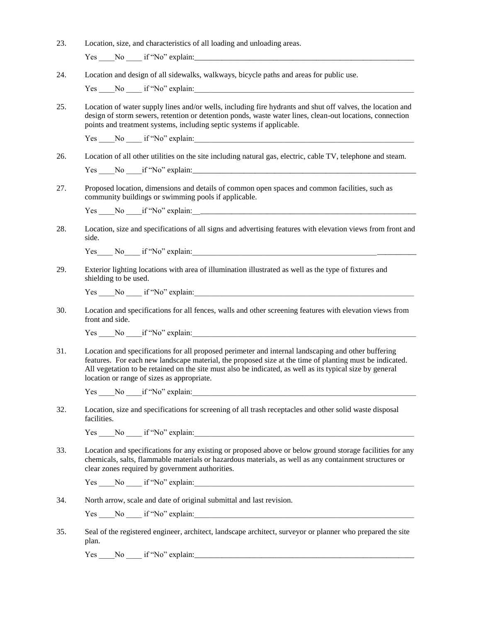| 23. | Location, size, and characteristics of all loading and unloading areas.<br>$Yes$ No if "No" explain:                                                                                                                                                                                                                                                                     |  |  |  |
|-----|--------------------------------------------------------------------------------------------------------------------------------------------------------------------------------------------------------------------------------------------------------------------------------------------------------------------------------------------------------------------------|--|--|--|
| 24. | Location and design of all sidewalks, walkways, bicycle paths and areas for public use.                                                                                                                                                                                                                                                                                  |  |  |  |
|     | Yes No if "No" explain:                                                                                                                                                                                                                                                                                                                                                  |  |  |  |
| 25. | Location of water supply lines and/or wells, including fire hydrants and shut off valves, the location and<br>design of storm sewers, retention or detention ponds, waste water lines, clean-out locations, connection<br>points and treatment systems, including septic systems if applicable.                                                                          |  |  |  |
|     | Yes No if "No" explain:                                                                                                                                                                                                                                                                                                                                                  |  |  |  |
| 26. | Location of all other utilities on the site including natural gas, electric, cable TV, telephone and steam.                                                                                                                                                                                                                                                              |  |  |  |
| 27. | Proposed location, dimensions and details of common open spaces and common facilities, such as<br>community buildings or swimming pools if applicable.                                                                                                                                                                                                                   |  |  |  |
|     |                                                                                                                                                                                                                                                                                                                                                                          |  |  |  |
| 28. | Location, size and specifications of all signs and advertising features with elevation views from front and<br>side.                                                                                                                                                                                                                                                     |  |  |  |
|     | Yes No if "No" explain:                                                                                                                                                                                                                                                                                                                                                  |  |  |  |
| 29. | Exterior lighting locations with area of illumination illustrated as well as the type of fixtures and<br>shielding to be used.                                                                                                                                                                                                                                           |  |  |  |
|     | Yes No if "No" explain:                                                                                                                                                                                                                                                                                                                                                  |  |  |  |
| 30. | Location and specifications for all fences, walls and other screening features with elevation views from<br>front and side.                                                                                                                                                                                                                                              |  |  |  |
|     | Yes No if "No" explain:                                                                                                                                                                                                                                                                                                                                                  |  |  |  |
| 31. | Location and specifications for all proposed perimeter and internal landscaping and other buffering<br>features. For each new landscape material, the proposed size at the time of planting must be indicated.<br>All vegetation to be retained on the site must also be indicated, as well as its typical size by general<br>location or range of sizes as appropriate. |  |  |  |
|     | Yes No if "No" explain:                                                                                                                                                                                                                                                                                                                                                  |  |  |  |
| 32. | Location, size and specifications for screening of all trash receptacles and other solid waste disposal<br>facilities.                                                                                                                                                                                                                                                   |  |  |  |
|     | $Yes$ $No$ $No$ $ir "No" explain:$                                                                                                                                                                                                                                                                                                                                       |  |  |  |
| 33. | Location and specifications for any existing or proposed above or below ground storage facilities for any<br>chemicals, salts, flammable materials or hazardous materials, as well as any containment structures or<br>clear zones required by government authorities.                                                                                                   |  |  |  |
|     | Yes No if "No" explain:                                                                                                                                                                                                                                                                                                                                                  |  |  |  |
| 34. | North arrow, scale and date of original submittal and last revision.                                                                                                                                                                                                                                                                                                     |  |  |  |
|     | Yes No if "No" explain:                                                                                                                                                                                                                                                                                                                                                  |  |  |  |
| 35. | Seal of the registered engineer, architect, landscape architect, surveyor or planner who prepared the site<br>plan.                                                                                                                                                                                                                                                      |  |  |  |
|     |                                                                                                                                                                                                                                                                                                                                                                          |  |  |  |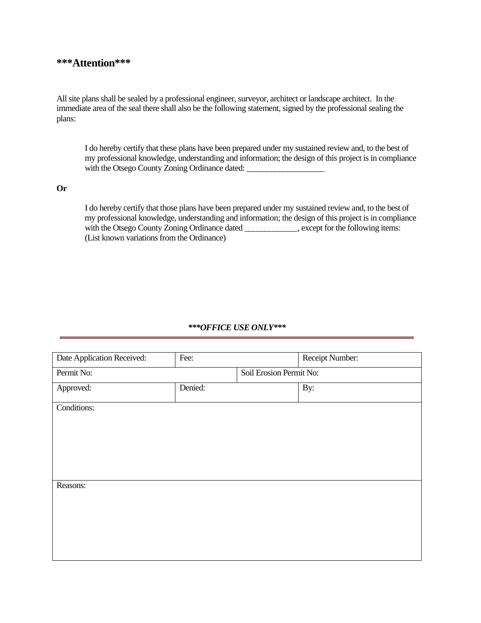#### **\*\*\*Attention\*\*\***

All site plans shall be sealed by a professional engineer, surveyor, architect or landscape architect. In the immediate area of the seal there shall also be the following statement, signed by the professional sealing the plans:

I do hereby certify that these plans have been prepared under my sustained review and, to the best of my professional knowledge, understanding and information; the design of this project is in compliance with the Otsego County Zoning Ordinance dated:

#### **Or**

I do hereby certify that those plans have been prepared under my sustained review and, to the best of my professional knowledge, understanding and information; the design of this project is in compliance with the Otsego County Zoning Ordinance dated \_\_\_\_\_\_\_\_\_\_, except for the following items: (List known variations from the Ordinance)

#### *\*\*\*OFFICE USE ONLY\*\*\**

| Date Application Received: | Fee:                    | Receipt Number: |
|----------------------------|-------------------------|-----------------|
| Permit No:                 | Soil Erosion Permit No: |                 |
| Approved:                  | Denied:                 | By:             |
| Conditions:                |                         |                 |
|                            |                         |                 |
|                            |                         |                 |
|                            |                         |                 |
|                            |                         |                 |
| Reasons:                   |                         |                 |
|                            |                         |                 |
|                            |                         |                 |
|                            |                         |                 |
|                            |                         |                 |